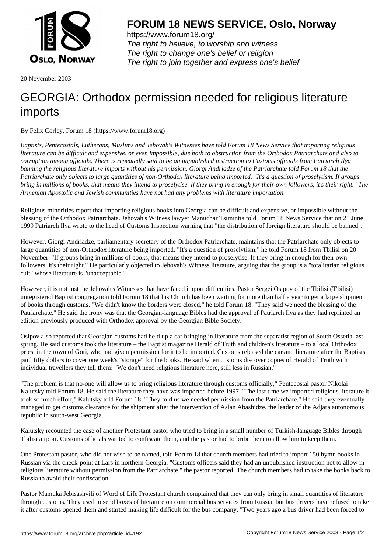

https://www.forum18.org/ The right to believe, to worship and witness The right to change one's belief or religion [The right to join together a](https://www.forum18.org/)nd express one's belief

20 November 2003

## [GEORGIA: Orth](https://www.forum18.org)odox permission needed for religious literature imports

By Felix Corley, Forum 18 (https://www.forum18.org)

*Baptists, Pentecostals, Lutherans, Muslims and Jehovah's Witnesses have told Forum 18 News Service that importing religious literature can be difficult and expensive, or even impossible, due both to obstruction from the Orthodox Patriarchate and also to corruption among officials. There is repeatedly said to be an unpublished instruction to Customs officials from Patriarch Ilya banning the religious literature imports without his permission. Giorgi Andriadze of the Patriarchate told Forum 18 that the Patriarchate only objects to large quantities of non-Orthodox literature being imported. "It's a question of proselytism. If groups bring in millions of books, that means they intend to proselytise. If they bring in enough for their own followers, it's their right." The Armenian Apostolic and Jewish communities have not had any problems with literature importation.*

Religious minorities report that importing religious books into Georgia can be difficult and expensive, or impossible without the blessing of the Orthodox Patriarchate. Jehovah's Witness lawyer Manuchar Tsimintia told Forum 18 News Service that on 21 June 1999 Patriarch Ilya wrote to the head of Customs Inspection warning that "the distribution of foreign literature should be banned".

However, Giorgi Andriadze, parliamentary secretary of the Orthodox Patriarchate, maintains that the Patriarchate only objects to large quantities of non-Orthodox literature being imported. "It's a question of proselytism," he told Forum 18 from Tbilisi on 20 November. "If groups bring in millions of books, that means they intend to proselytise. If they bring in enough for their own followers, it's their right." He particularly objected to Jehovah's Witness literature, arguing that the group is a "totalitarian religious cult" whose literature is "unacceptable".

However, it is not just the Jehovah's Witnesses that have faced import difficulties. Pastor Sergei Osipov of the Tbilisi (T'bilisi) unregistered Baptist congregation told Forum 18 that his Church has been waiting for more than half a year to get a large shipment of books through customs. "We didn't know the borders were closed," he told Forum 18. "They said we need the blessing of the Patriarchate." He said the irony was that the Georgian-language Bibles had the approval of Patriarch Ilya as they had reprinted an edition previously produced with Orthodox approval by the Georgian Bible Society.

Osipov also reported that Georgian customs had held up a car bringing in literature from the separatist region of South Ossetia last spring. He said customs took the literature – the Baptist magazine Herald of Truth and children's literature – to a local Orthodox priest in the town of Gori, who had given permission for it to be imported. Customs released the car and literature after the Baptists paid fifty dollars to cover one week's "storage" for the books. He said when customs discover copies of Herald of Truth with individual travellers they tell them: "We don't need religious literature here, still less in Russian."

"The problem is that no-one will allow us to bring religious literature through customs officially," Pentecostal pastor Nikolai Kalutsky told Forum 18. He said the literature they have was imported before 1997. "The last time we imported religious literature it took so much effort," Kalutsky told Forum 18. "They told us we needed permission from the Patriarchate." He said they eventually managed to get customs clearance for the shipment after the intervention of Aslan Abashidze, the leader of the Adjara autonomous republic in south-west Georgia.

Kalutsky recounted the case of another Protestant pastor who tried to bring in a small number of Turkish-language Bibles through Tbilisi airport. Customs officials wanted to confiscate them, and the pastor had to bribe them to allow him to keep them.

One Protestant pastor, who did not wish to be named, told Forum 18 that church members had tried to import 150 hymn books in Russian via the check-point at Lars in northern Georgia. "Customs officers said they had an unpublished instruction not to allow in religious literature without permission from the Patriarchate," the pastor reported. The church members had to take the books back to Russia to avoid their confiscation.

Pastor Mamuka Jebisashvili of Word of Life Protestant church complained that they can only bring in small quantities of literature through customs. They used to send boxes of literature on commercial bus services from Russia, but bus drivers have refused to take it after customs opened them and started making life difficult for the bus company. "Two years ago a bus driver had been forced to